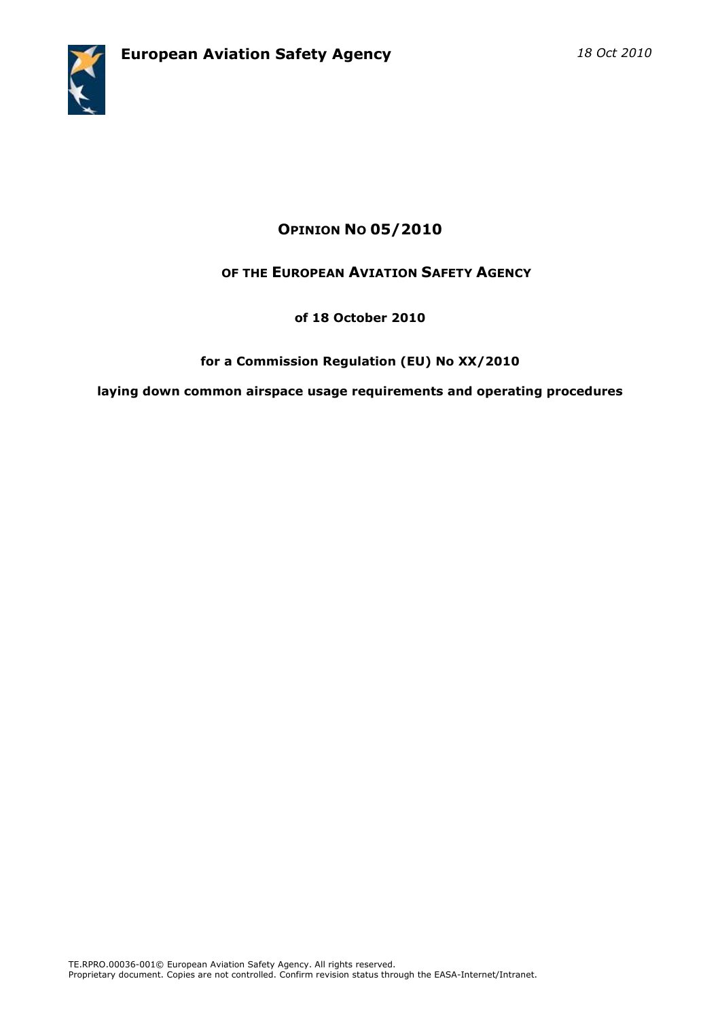

# OPINION NO 05/2010

## OF THE EUROPEAN AVIATION SAFETY AGENCY

### of 18 October 2010

### for a Commission Regulation (EU) No XX/2010

laying down common airspace usage requirements and operating procedures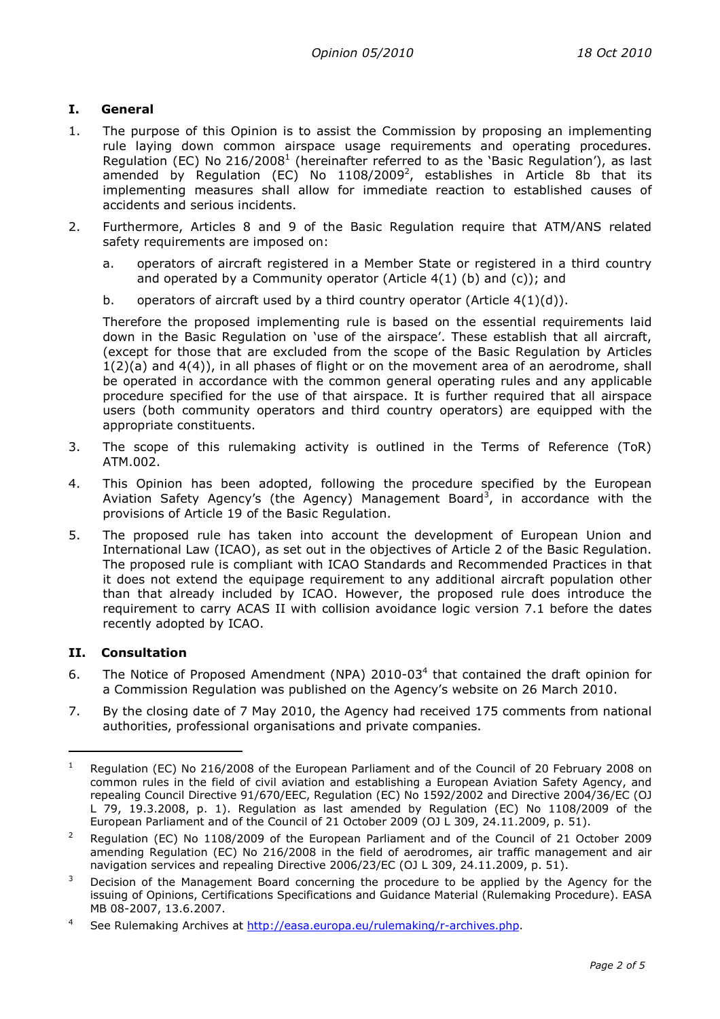#### I. General

- 1. The purpose of this Opinion is to assist the Commission by proposing an implementing rule laying down common airspace usage requirements and operating procedures. Regulation (EC) No 216/2008<sup>1</sup> (hereinafter referred to as the 'Basic Regulation'), as last amended by Regulation (EC) No 1108/2009<sup>2</sup>, establishes in Article 8b that its implementing measures shall allow for immediate reaction to established causes of accidents and serious incidents.
- 2. Furthermore, Articles 8 and 9 of the Basic Regulation require that ATM/ANS related safety requirements are imposed on:
	- a. operators of aircraft registered in a Member State or registered in a third country and operated by a Community operator (Article  $4(1)$  (b) and (c)); and
	- b. operators of aircraft used by a third country operator (Article  $4(1)(d)$ ).

Therefore the proposed implementing rule is based on the essential requirements laid down in the Basic Regulation on 'use of the airspace'. These establish that all aircraft, (except for those that are excluded from the scope of the Basic Regulation by Articles 1(2)(a) and 4(4)), in all phases of flight or on the movement area of an aerodrome, shall be operated in accordance with the common general operating rules and any applicable procedure specified for the use of that airspace. It is further required that all airspace users (both community operators and third country operators) are equipped with the appropriate constituents.

- 3. The scope of this rulemaking activity is outlined in the Terms of Reference (ToR) ATM.002.
- 4. This Opinion has been adopted, following the procedure specified by the European Aviation Safety Agency's (the Agency) Management Board<sup>3</sup>, in accordance with the provisions of Article 19 of the Basic Regulation.
- 5. The proposed rule has taken into account the development of European Union and International Law (ICAO), as set out in the objectives of Article 2 of the Basic Regulation. The proposed rule is compliant with ICAO Standards and Recommended Practices in that it does not extend the equipage requirement to any additional aircraft population other than that already included by ICAO. However, the proposed rule does introduce the requirement to carry ACAS II with collision avoidance logic version 7.1 before the dates recently adopted by ICAO.

#### II. Consultation

 $\overline{a}$ 

- 6. The Notice of Proposed Amendment (NPA)  $2010-03<sup>4</sup>$  that contained the draft opinion for a Commission Regulation was published on the Agency's website on 26 March 2010.
- 7. By the closing date of 7 May 2010, the Agency had received 175 comments from national authorities, professional organisations and private companies.

<sup>1</sup> Regulation (EC) No 216/2008 of the European Parliament and of the Council of 20 February 2008 on common rules in the field of civil aviation and establishing a European Aviation Safety Agency, and repealing Council Directive 91/670/EEC, Regulation (EC) No 1592/2002 and Directive 2004/36/EC (OJ L 79, 19.3.2008, p. 1). Regulation as last amended by Regulation (EC) No 1108/2009 of the European Parliament and of the Council of 21 October 2009 (OJ L 309, 24.11.2009, p. 51).

<sup>2</sup> Regulation (EC) No 1108/2009 of the European Parliament and of the Council of 21 October 2009 amending Regulation (EC) No 216/2008 in the field of aerodromes, air traffic management and air navigation services and repealing Directive 2006/23/EC (OJ L 309, 24.11.2009, p. 51).

<sup>3</sup> Decision of the Management Board concerning the procedure to be applied by the Agency for the issuing of Opinions, Certifications Specifications and Guidance Material (Rulemaking Procedure). EASA MB 08-2007, 13.6.2007.

<sup>4</sup> See Rulemaking Archives at http://easa.europa.eu/rulemaking/r-archives.php.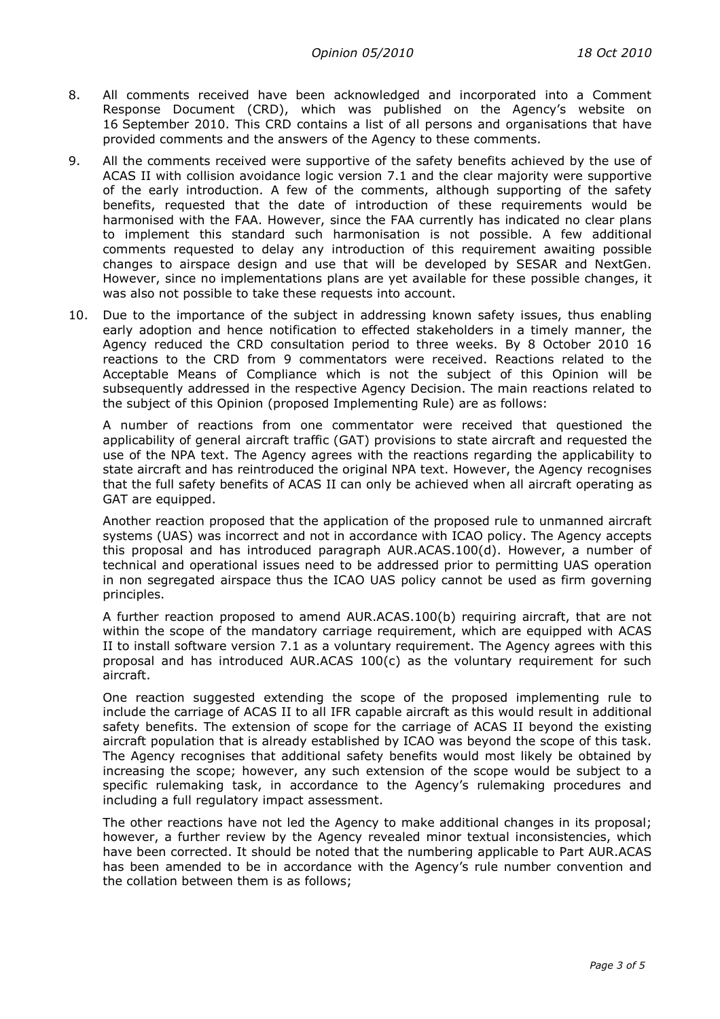- 8. All comments received have been acknowledged and incorporated into a Comment Response Document (CRD), which was published on the Agency's website on 16 September 2010. This CRD contains a list of all persons and organisations that have provided comments and the answers of the Agency to these comments.
- 9. All the comments received were supportive of the safety benefits achieved by the use of ACAS II with collision avoidance logic version 7.1 and the clear majority were supportive of the early introduction. A few of the comments, although supporting of the safety benefits, requested that the date of introduction of these requirements would be harmonised with the FAA. However, since the FAA currently has indicated no clear plans to implement this standard such harmonisation is not possible. A few additional comments requested to delay any introduction of this requirement awaiting possible changes to airspace design and use that will be developed by SESAR and NextGen. However, since no implementations plans are yet available for these possible changes, it was also not possible to take these requests into account.
- 10. Due to the importance of the subject in addressing known safety issues, thus enabling early adoption and hence notification to effected stakeholders in a timely manner, the Agency reduced the CRD consultation period to three weeks. By 8 October 2010 16 reactions to the CRD from 9 commentators were received. Reactions related to the Acceptable Means of Compliance which is not the subject of this Opinion will be subsequently addressed in the respective Agency Decision. The main reactions related to the subject of this Opinion (proposed Implementing Rule) are as follows:

A number of reactions from one commentator were received that questioned the applicability of general aircraft traffic (GAT) provisions to state aircraft and requested the use of the NPA text. The Agency agrees with the reactions regarding the applicability to state aircraft and has reintroduced the original NPA text. However, the Agency recognises that the full safety benefits of ACAS II can only be achieved when all aircraft operating as GAT are equipped.

Another reaction proposed that the application of the proposed rule to unmanned aircraft systems (UAS) was incorrect and not in accordance with ICAO policy. The Agency accepts this proposal and has introduced paragraph AUR.ACAS.100(d). However, a number of technical and operational issues need to be addressed prior to permitting UAS operation in non segregated airspace thus the ICAO UAS policy cannot be used as firm governing principles.

A further reaction proposed to amend AUR.ACAS.100(b) requiring aircraft, that are not within the scope of the mandatory carriage requirement, which are equipped with ACAS II to install software version 7.1 as a voluntary requirement. The Agency agrees with this proposal and has introduced AUR.ACAS 100(c) as the voluntary requirement for such aircraft.

One reaction suggested extending the scope of the proposed implementing rule to include the carriage of ACAS II to all IFR capable aircraft as this would result in additional safety benefits. The extension of scope for the carriage of ACAS II beyond the existing aircraft population that is already established by ICAO was beyond the scope of this task. The Agency recognises that additional safety benefits would most likely be obtained by increasing the scope; however, any such extension of the scope would be subject to a specific rulemaking task, in accordance to the Agency's rulemaking procedures and including a full regulatory impact assessment.

The other reactions have not led the Agency to make additional changes in its proposal; however, a further review by the Agency revealed minor textual inconsistencies, which have been corrected. It should be noted that the numbering applicable to Part AUR.ACAS has been amended to be in accordance with the Agency's rule number convention and the collation between them is as follows;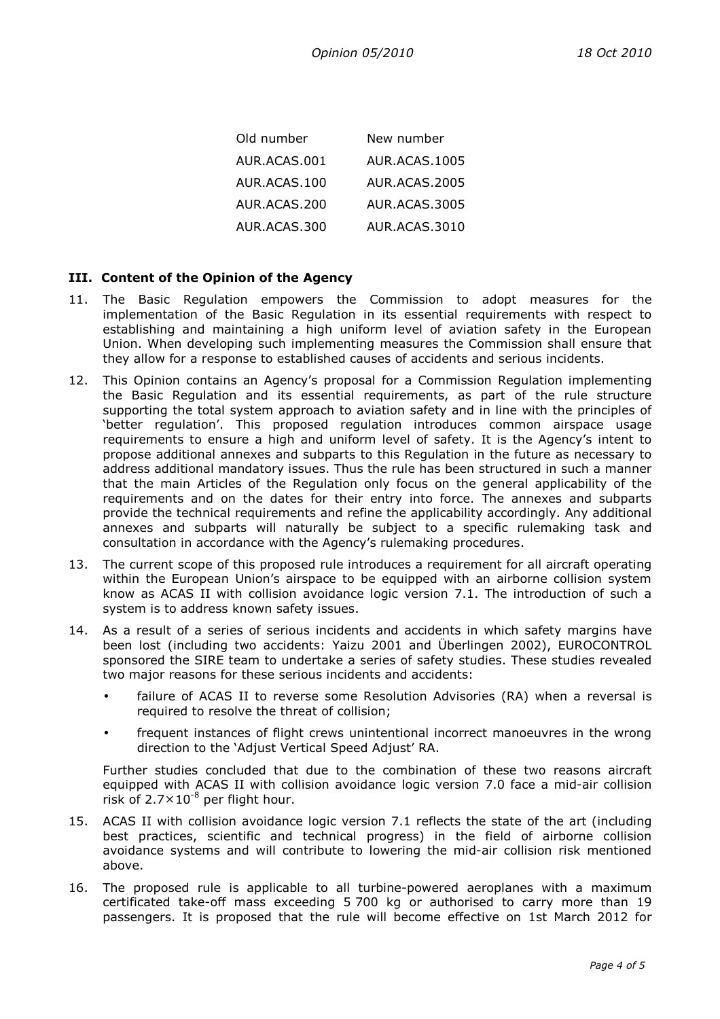| Old number   | New number    |
|--------------|---------------|
| AUR.ACAS.001 | AUR.ACAS.1005 |
| AUR.ACAS.100 | AUR.ACAS.2005 |
| AUR.ACAS.200 | AUR.ACAS.3005 |
| AUR.ACAS.300 | AUR.ACAS.3010 |

#### III. Content of the Opinion of the Agency

- 11. The Basic Regulation empowers the Commission to adopt measures for the implementation of the Basic Regulation in its essential requirements with respect to establishing and maintaining a high uniform level of aviation safety in the European Union. When developing such implementing measures the Commission shall ensure that they allow for a response to established causes of accidents and serious incidents.
- 12. This Opinion contains an Agency's proposal for a Commission Regulation implementing the Basic Regulation and its essential requirements, as part of the rule structure supporting the total system approach to aviation safety and in line with the principles of 'better regulation'. This proposed regulation introduces common airspace usage requirements to ensure a high and uniform level of safety. It is the Agency's intent to propose additional annexes and subparts to this Regulation in the future as necessary to address additional mandatory issues. Thus the rule has been structured in such a manner that the main Articles of the Regulation only focus on the general applicability of the requirements and on the dates for their entry into force. The annexes and subparts provide the technical requirements and refine the applicability accordingly. Any additional annexes and subparts will naturally be subject to a specific rulemaking task and consultation in accordance with the Agency's rulemaking procedures.
- 13. The current scope of this proposed rule introduces a requirement for all aircraft operating within the European Union's airspace to be equipped with an airborne collision system know as ACAS II with collision avoidance logic version 7.1. The introduction of such a system is to address known safety issues.
- 14. As a result of a series of serious incidents and accidents in which safety margins have been lost (including two accidents: Yaizu 2001 and Überlingen 2002), EUROCONTROL sponsored the SIRE team to undertake a series of safety studies. These studies revealed two major reasons for these serious incidents and accidents:
	- failure of ACAS II to reverse some Resolution Advisories (RA) when a reversal is required to resolve the threat of collision;
	- frequent instances of flight crews unintentional incorrect manoeuvres in the wrong direction to the 'Adjust Vertical Speed Adjust' RA.

Further studies concluded that due to the combination of these two reasons aircraft equipped with ACAS II with collision avoidance logic version 7.0 face a mid-air collision risk of  $2.7 \times 10^{-8}$  per flight hour.

- 15. ACAS II with collision avoidance logic version 7.1 reflects the state of the art (including best practices, scientific and technical progress) in the field of airborne collision avoidance systems and will contribute to lowering the mid-air collision risk mentioned above.
- 16. The proposed rule is applicable to all turbine-powered aeroplanes with a maximum certificated take-off mass exceeding 5 700 kg or authorised to carry more than 19 passengers. It is proposed that the rule will become effective on 1st March 2012 for